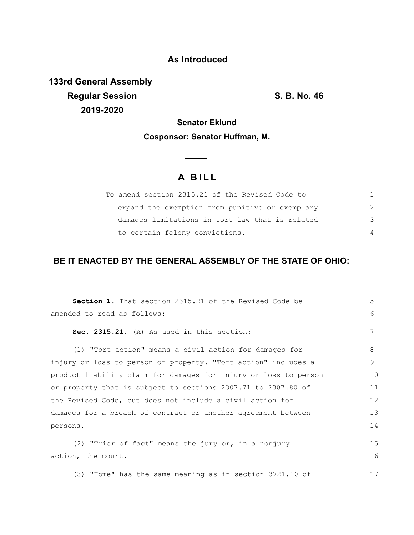## **As Introduced**

**133rd General Assembly Regular Session S. B. No. 46 2019-2020**

**Senator Eklund**

### **Cosponsor: Senator Huffman, M.**

# **A B I L L**

**Contract Contract Contract** 

| To amend section 2315.21 of the Revised Code to |    |
|-------------------------------------------------|----|
| expand the exemption from punitive or exemplary | 2  |
| damages limitations in tort law that is related | -3 |
| to certain felony convictions.                  |    |

## **BE IT ENACTED BY THE GENERAL ASSEMBLY OF THE STATE OF OHIO:**

| Section 1. That section 2315.21 of the Revised Code be           | 5  |
|------------------------------------------------------------------|----|
| amended to read as follows:                                      | 6  |
| Sec. 2315.21. (A) As used in this section:                       | 7  |
| (1) "Tort action" means a civil action for damages for           | 8  |
| injury or loss to person or property. "Tort action" includes a   | 9  |
| product liability claim for damages for injury or loss to person | 10 |
| or property that is subject to sections 2307.71 to 2307.80 of    | 11 |
| the Revised Code, but does not include a civil action for        | 12 |
| damages for a breach of contract or another agreement between    | 13 |
| persons.                                                         | 14 |
| (2) "Trier of fact" means the jury or, in a nonjury              | 15 |
|                                                                  |    |
| action, the court.                                               | 16 |
| (3) "Home" has the same meaning as in section 3721.10 of         | 17 |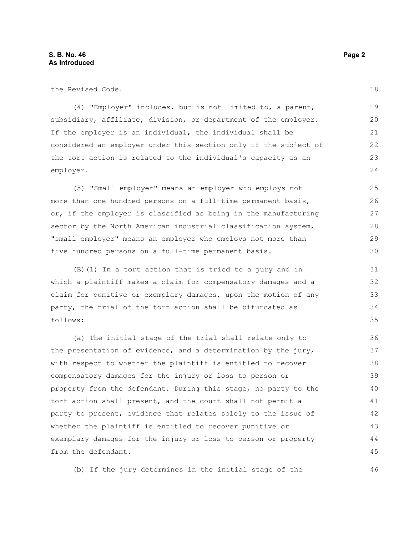the Revised Code.

(4) "Employer" includes, but is not limited to, a parent, subsidiary, affiliate, division, or department of the employer. If the employer is an individual, the individual shall be considered an employer under this section only if the subject of the tort action is related to the individual's capacity as an employer.

(5) "Small employer" means an employer who employs not more than one hundred persons on a full-time permanent basis, or, if the employer is classified as being in the manufacturing sector by the North American industrial classification system, "small employer" means an employer who employs not more than five hundred persons on a full-time permanent basis.

(B)(1) In a tort action that is tried to a jury and in which a plaintiff makes a claim for compensatory damages and a claim for punitive or exemplary damages, upon the motion of any party, the trial of the tort action shall be bifurcated as follows:

(a) The initial stage of the trial shall relate only to the presentation of evidence, and a determination by the jury, with respect to whether the plaintiff is entitled to recover compensatory damages for the injury or loss to person or property from the defendant. During this stage, no party to the tort action shall present, and the court shall not permit a party to present, evidence that relates solely to the issue of whether the plaintiff is entitled to recover punitive or exemplary damages for the injury or loss to person or property from the defendant. 36 37 38 39 40 41 42 43 44 45

(b) If the jury determines in the initial stage of the

18

46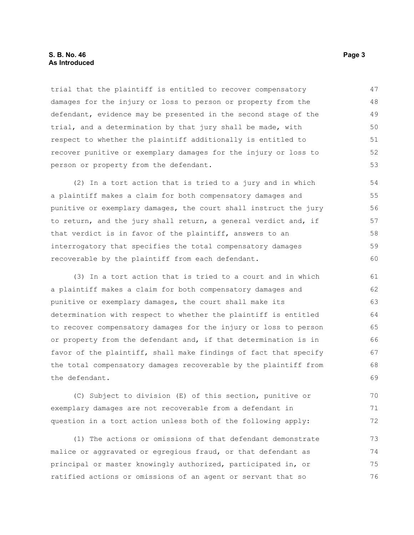trial that the plaintiff is entitled to recover compensatory damages for the injury or loss to person or property from the defendant, evidence may be presented in the second stage of the trial, and a determination by that jury shall be made, with respect to whether the plaintiff additionally is entitled to recover punitive or exemplary damages for the injury or loss to person or property from the defendant. 47 48 49 50 51 52 53

(2) In a tort action that is tried to a jury and in which a plaintiff makes a claim for both compensatory damages and punitive or exemplary damages, the court shall instruct the jury to return, and the jury shall return, a general verdict and, if that verdict is in favor of the plaintiff, answers to an interrogatory that specifies the total compensatory damages recoverable by the plaintiff from each defendant. 54 55 56 57 58 59 60

(3) In a tort action that is tried to a court and in which a plaintiff makes a claim for both compensatory damages and punitive or exemplary damages, the court shall make its determination with respect to whether the plaintiff is entitled to recover compensatory damages for the injury or loss to person or property from the defendant and, if that determination is in favor of the plaintiff, shall make findings of fact that specify the total compensatory damages recoverable by the plaintiff from the defendant.

(C) Subject to division (E) of this section, punitive or exemplary damages are not recoverable from a defendant in question in a tort action unless both of the following apply: 70 71 72

(1) The actions or omissions of that defendant demonstrate malice or aggravated or egregious fraud, or that defendant as principal or master knowingly authorized, participated in, or ratified actions or omissions of an agent or servant that so 73 74 75 76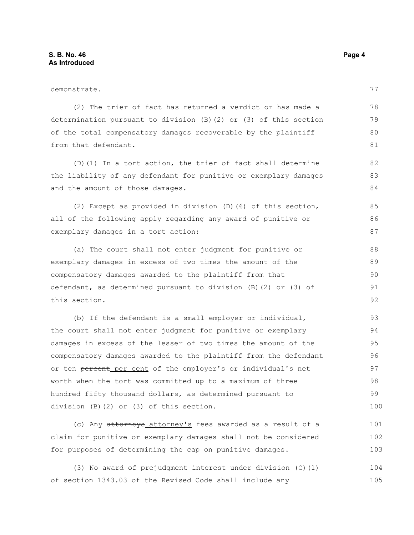| demonstrate.                                                      | 77  |
|-------------------------------------------------------------------|-----|
| (2) The trier of fact has returned a verdict or has made a        | 78  |
| determination pursuant to division (B) (2) or (3) of this section | 79  |
| of the total compensatory damages recoverable by the plaintiff    | 80  |
| from that defendant.                                              | 81  |
| (D)(1) In a tort action, the trier of fact shall determine        | 82  |
| the liability of any defendant for punitive or exemplary damages  | 83  |
| and the amount of those damages.                                  | 84  |
| (2) Except as provided in division $(D)$ (6) of this section,     | 85  |
| all of the following apply regarding any award of punitive or     | 86  |
| exemplary damages in a tort action:                               | 87  |
| (a) The court shall not enter judgment for punitive or            | 88  |
| exemplary damages in excess of two times the amount of the        | 89  |
| compensatory damages awarded to the plaintiff from that           | 90  |
| defendant, as determined pursuant to division (B) (2) or (3) of   | 91  |
| this section.                                                     | 92  |
| (b) If the defendant is a small employer or individual,           | 93  |
| the court shall not enter judgment for punitive or exemplary      | 94  |
| damages in excess of the lesser of two times the amount of the    | 95  |
| compensatory damages awarded to the plaintiff from the defendant  | 96  |
| or ten percent per cent of the employer's or individual's net     | 97  |
| worth when the tort was committed up to a maximum of three        | 98  |
| hundred fifty thousand dollars, as determined pursuant to         | 99  |
| division (B)(2) or (3) of this section.                           | 100 |
| (c) Any attorneys attorney's fees awarded as a result of a        | 101 |

(c) Any attorneys attorney's fees awarded as a result of a claim for punitive or exemplary damages shall not be considered for purposes of determining the cap on punitive damages. 102 103

(3) No award of prejudgment interest under division (C)(1) of section 1343.03 of the Revised Code shall include any 104 105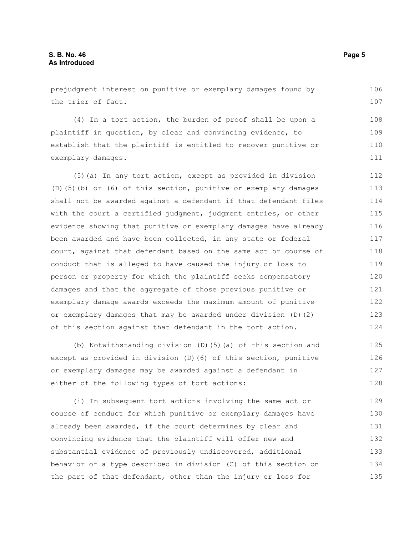prejudgment interest on punitive or exemplary damages found by the trier of fact.

(4) In a tort action, the burden of proof shall be upon a plaintiff in question, by clear and convincing evidence, to establish that the plaintiff is entitled to recover punitive or exemplary damages. 108 109 110 111

(5)(a) In any tort action, except as provided in division (D)(5)(b) or (6) of this section, punitive or exemplary damages shall not be awarded against a defendant if that defendant files with the court a certified judgment, judgment entries, or other evidence showing that punitive or exemplary damages have already been awarded and have been collected, in any state or federal court, against that defendant based on the same act or course of conduct that is alleged to have caused the injury or loss to person or property for which the plaintiff seeks compensatory damages and that the aggregate of those previous punitive or exemplary damage awards exceeds the maximum amount of punitive or exemplary damages that may be awarded under division (D)(2) of this section against that defendant in the tort action. 112 113 114 115 116 117 118 119 120 121 122 123 124

(b) Notwithstanding division (D)(5)(a) of this section and except as provided in division (D)(6) of this section, punitive or exemplary damages may be awarded against a defendant in either of the following types of tort actions: 125 126 127 128

(i) In subsequent tort actions involving the same act or course of conduct for which punitive or exemplary damages have already been awarded, if the court determines by clear and convincing evidence that the plaintiff will offer new and substantial evidence of previously undiscovered, additional behavior of a type described in division (C) of this section on the part of that defendant, other than the injury or loss for 129 130 131 132 133 134 135

106 107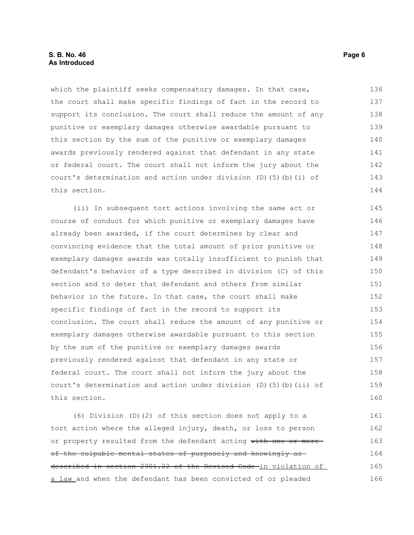which the plaintiff seeks compensatory damages. In that case, the court shall make specific findings of fact in the record to support its conclusion. The court shall reduce the amount of any punitive or exemplary damages otherwise awardable pursuant to this section by the sum of the punitive or exemplary damages awards previously rendered against that defendant in any state or federal court. The court shall not inform the jury about the court's determination and action under division (D)(5)(b)(i) of this section. 136 137 138 139 140 141 142 143 144

(ii) In subsequent tort actions involving the same act or course of conduct for which punitive or exemplary damages have already been awarded, if the court determines by clear and convincing evidence that the total amount of prior punitive or exemplary damages awards was totally insufficient to punish that defendant's behavior of a type described in division (C) of this section and to deter that defendant and others from similar behavior in the future. In that case, the court shall make specific findings of fact in the record to support its conclusion. The court shall reduce the amount of any punitive or exemplary damages otherwise awardable pursuant to this section by the sum of the punitive or exemplary damages awards previously rendered against that defendant in any state or federal court. The court shall not inform the jury about the court's determination and action under division (D)(5)(b)(ii) of this section. 145 146 147 148 149 150 151 152 153 154 155 156 157 158 159 160

(6) Division (D)(2) of this section does not apply to a tort action where the alleged injury, death, or loss to person or property resulted from the defendant acting with one or moreof the culpable mental states of purposely and knowingly as described in section 2901.22 of the Revised Code-in violation of a law and when the defendant has been convicted of or pleaded 161 162 163 164 165 166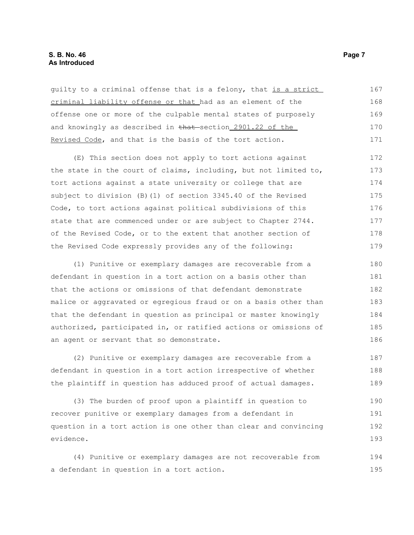### **S. B. No. 46 Page 7 As Introduced**

guilty to a criminal offense that is a felony, that is a strict criminal liability offense or that had as an element of the offense one or more of the culpable mental states of purposely and knowingly as described in that section 2901.22 of the Revised Code, and that is the basis of the tort action. 167 168 169 170 171

(E) This section does not apply to tort actions against the state in the court of claims, including, but not limited to, tort actions against a state university or college that are subject to division (B)(1) of section 3345.40 of the Revised Code, to tort actions against political subdivisions of this state that are commenced under or are subject to Chapter 2744. of the Revised Code, or to the extent that another section of the Revised Code expressly provides any of the following: 172 173 174 175 176 177 178 179

(1) Punitive or exemplary damages are recoverable from a defendant in question in a tort action on a basis other than that the actions or omissions of that defendant demonstrate malice or aggravated or egregious fraud or on a basis other than that the defendant in question as principal or master knowingly authorized, participated in, or ratified actions or omissions of an agent or servant that so demonstrate. 180 181 182 183 184 185 186

(2) Punitive or exemplary damages are recoverable from a defendant in question in a tort action irrespective of whether the plaintiff in question has adduced proof of actual damages. 187 188 189

(3) The burden of proof upon a plaintiff in question to recover punitive or exemplary damages from a defendant in question in a tort action is one other than clear and convincing evidence. 190 191 192 193

(4) Punitive or exemplary damages are not recoverable from a defendant in question in a tort action. 194 195